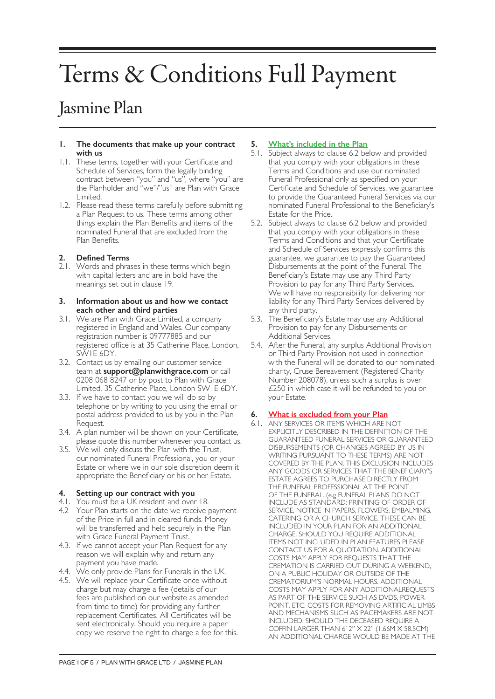# Terms & Conditions Full Payment

# Jasmine Plan

#### **1. The documents that make up your contract with us**

- 1.1. These terms, together with your Certificate and Schedule of Services, form the legally binding contract between "you" and "us", where "you" are the Planholder and "we"/"us" are Plan with Grace Limited.
- 1.2. Please read these terms carefully before submitting a Plan Request to us. These terms among other things explain the Plan Benefits and items of the nominated Funeral that are excluded from the Plan Benefits.

# **2. Defined Terms**

2.1. Words and phrases in these terms which begin with capital letters and are in bold have the meanings set out in clause 19.

#### **3. Information about us and how we contact each other and third parties**

- 3.1. We are Plan with Grace Limited, a company registered in England and Wales. Our company registration number is 09777885 and our registered office is at 35 Catherine Place, London, SW1E 6DY.
- 3.2. Contact us by emailing our customer service team at **support@planwithgrace.com** or call 0208 068 8247 or by post to Plan with Grace Limited, 35 Catherine Place, London SW1E 6DY.
- 3.3. If we have to contact you we will do so by telephone or by writing to you using the email or postal address provided to us by you in the Plan Request.
- 3.4. A plan number will be shown on your Certificate, please quote this number whenever you contact us.
- 3.5. We will only discuss the Plan with the Trust, our nominated Funeral Professional, you or your Estate or where we in our sole discretion deem it appropriate the Beneficiary or his or her Estate.

# **4. Setting up our contract with you**

- 4.1. You must be a UK resident and over 18.
- 4.2 Your Plan starts on the date we receive payment of the Price in full and in cleared funds. Money will be transferred and held securely in the Plan with Grace Funeral Payment Trust.
- 4.3. If we cannot accept your Plan Request for any reason we will explain why and return any payment you have made.
- 4.4. We only provide Plans for Funerals in the UK.
- 4.5. We will replace your Certificate once without charge but may charge a fee (details of our fees are published on our website as amended from time to time) for providing any further replacement Certificates. All Certificates will be sent electronically. Should you require a paper copy we reserve the right to charge a fee for this.

# **5. What's included in the Plan**

- 5.1. Subject always to clause 6.2 below and provided that you comply with your obligations in these Terms and Conditions and use our nominated Funeral Professional only as specified on your Certificate and Schedule of Services, we guarantee to provide the Guaranteed Funeral Services via our nominated Funeral Professional to the Beneficiary's Estate for the Price.
- 5.2. Subject always to clause 6.2 below and provided that you comply with your obligations in these Terms and Conditions and that your Certificate and Schedule of Services expressly confirms this guarantee, we guarantee to pay the Guaranteed Disbursements at the point of the Funeral. The Beneficiary's Estate may use any Third Party Provision to pay for any Third Party Services. We will have no responsibility for delivering nor liability for any Third Party Services delivered by any third party.
- 5.3. The Beneficiary's Estate may use any Additional Provision to pay for any Disbursements or Additional Services.
- 5.4. After the Funeral, any surplus Additional Provision or Third Party Provision not used in connection with the Funeral will be donated to our nominated charity, Cruse Bereavement (Registered Charity Number 208078), unless such a surplus is over £250 in which case it will be refunded to you or your Estate.

# **6. What is excluded from your Plan**

6.1. ANY SERVICES OR ITEMS WHICH ARE NOT EXPLICITLY DESCRIBED IN THE DEFINITION OF THE GUARANTEED FUNERAL SERVICES OR GUARANTEED DISBURSEMENTS (OR CHANGES AGREED BY US IN WRITING PURSUANT TO THESE TERMS) ARE NOT COVERED BY THE PLAN. THIS EXCLUSION INCLUDES ANY GOODS OR SERVICES THAT THE BENEFICIARY'S ESTATE AGREES TO PURCHASE DIRECTLY FROM THE FUNERAL PROFESSIONAL AT THE POINT OF THE FUNERAL. (e.g FUNERAL PLANS DO NOT INCLUDE AS STANDARD: PRINTING OF ORDER OF SERVICE, NOTICE IN PAPERS, FLOWERS, EMBALMING, CATERING OR A CHURCH SERVICE. THESE CAN BE INCLUDED IN YOUR PLAN FOR AN ADDITIONAL CHARGE. SHOULD YOU REQUIRE ADDITIONAL ITEMS NOT INCLUDED IN PLAN FEATURES PLEASE CONTACT US FOR A QUOTATION. ADDITIONAL COSTS MAY APPLY FOR REQUESTS THAT THE CREMATION IS CARRIED OUT DURING A WEEKEND, ON A PUBLIC HOLIDAY OR OUTSIDE OF THE CREMATORIUM'S NORMAL HOURS. ADDITIONAL COSTS MAY APPLY FOR ANY ADDITIONALREQUESTS AS PART OF THE SERVICE SUCH AS DVDS, POWER-POINT, ETC. COSTS FOR REMOVING ARTIFICIAL LIMBS AND MECHANISMS SUCH AS PACEMAKERS ARE NOT INCLUDED. SHOULD THE DECEASED REQUIRE A COFFIN LARGER THAN 6' 2" X 22" (1.66M X 58.5CM) AN ADDITIONAL CHARGE WOULD BE MADE AT THE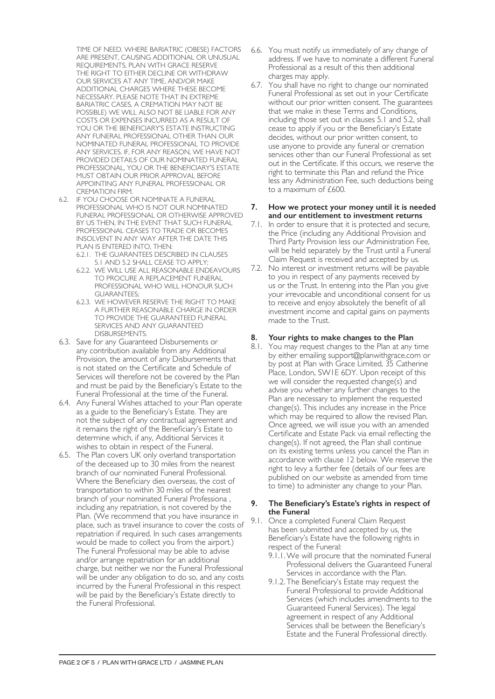TIME OF NEED. WHERE BARIATRIC (OBESE) FACTORS ARE PRESENT, CAUSING ADDITIONAL OR UNUSUAL REQUIREMENTS, PLAN WITH GRACE RESERVE THE RIGHT TO EITHER DECLINE OR WITHDRAW OUR SERVICES AT ANY TIME, AND/OR MAKE ADDITIONAL CHARGES WHERE THESE BECOME NECESSARY. PLEASE NOTE THAT IN EXTREME BARIATRIC CASES, A CREMATION MAY NOT BE POSSIBLE) WE WILL ALSO NOT BE LIABLE FOR ANY COSTS OR EXPENSES INCURRED AS A RESULT OF YOU OR THE BENEFICIARY'S ESTATE INSTRUCTING ANY FUNERAL PROFESSIONAL OTHER THAN OUR NOMINATED FUNERAL PROFESSIONAL TO PROVIDE ANY SERVICES. IF, FOR ANY REASON, WE HAVE NOT PROVIDED DETAILS OF OUR NOMINATED FUNERAL PROFESSIONAL, YOU OR THE BENEFICIARY'S ESTATE MUST OBTAIN OUR PRIOR APPROVAL BEFORE APPOINTING ANY FUNERAL PROFESSIONAL OR CREMATION FIRM.

- 6.2. IF YOU CHOOSE OR NOMINATE A FUNERAL PROFESSIONAL WHO IS NOT OUR NOMINATED FUNERAL PROFESSIONAL OR OTHERWISE APPROVED BY US THEN, IN THE EVENT THAT SUCH FUNERAL PROFESSIONAL CEASES TO TRADE OR BECOMES INSOLVENT IN ANY WAY AFTER THE DATE THIS PLAN IS ENTERED INTO, THEN:
	- 6.2.1. THE GUARANTEES DESCRIBED IN CLAUSES 5.1 AND 5.2 SHALL CEASE TO APPLY;
	- 6.2.2. WE WILL USE ALL REASONABLE ENDEAVOURS TO PROCURE A REPLACEMENT FUNERAL PROFESSIONAL WHO WILL HONOUR SUCH GUARANTEES;
	- 6.2.3. WE HOWEVER RESERVE THE RIGHT TO MAKE A FURTHER REASONABLE CHARGE IN ORDER TO PROVIDE THE GUARANTEED FUNERAL SERVICES AND ANY GUARANTEED DISBURSEMENTS.
- 6.3. Save for any Guaranteed Disbursements or any contribution available from any Additional Provision, the amount of any Disbursements that is not stated on the Certificate and Schedule of Services will therefore not be covered by the Plan and must be paid by the Beneficiary's Estate to the Funeral Professional at the time of the Funeral.
- 6.4. Any Funeral Wishes attached to your Plan operate as a guide to the Beneficiary's Estate. They are not the subject of any contractual agreement and it remains the right of the Beneficiary's Estate to determine which, if any, Additional Services it wishes to obtain in respect of the Funeral.
- 6.5. The Plan covers UK only overland transportation of the deceased up to 30 miles from the nearest branch of our nominated Funeral Professional. Where the Beneficiary dies overseas, the cost of transportation to within 30 miles of the nearest branch of your nominated Funeral Professiona , including any repatriation, is not covered by the Plan. (We recommend that you have insurance in place, such as travel insurance to cover the costs of repatriation if required. In such cases arrangements would be made to collect you from the airport.) The Funeral Professional may be able to advise and/or arrange repatriation for an additional charge, but neither we nor the Funeral Professional will be under any obligation to do so, and any costs incurred by the Funeral Professional in this respect will be paid by the Beneficiary's Estate directly to the Funeral Professional.
- 6.6. You must notify us immediately of any change of address. If we have to nominate a different Funeral Professional as a result of this then additional charges may apply.
- 6.7. You shall have no right to change our nominated Funeral Professional as set out in your Certificate without our prior written consent. The guarantees that we make in these Terms and Conditions, including those set out in clauses 5.1 and 5.2, shall cease to apply if you or the Beneficiary's Estate decides, without our prior written consent, to use anyone to provide any funeral or cremation services other than our Funeral Professional as set out in the Certificate. If this occurs, we reserve the right to terminate this Plan and refund the Price less any Administration Fee, such deductions being to a maximum of £600.

#### **7. How we protect your money until it is needed and our entitlement to investment returns**

- 7.1. In order to ensure that it is protected and secure, the Price (including any Additional Provision and Third Party Provision less our Administration Fee, will be held separately by the Trust until a Funeral Claim Request is received and accepted by us.
- 7.2. No interest or investment returns will be payable to you in respect of any payments received by us or the Trust. In entering into the Plan you give your irrevocable and unconditional consent for us to receive and enjoy absolutely the benefit of all investment income and capital gains on payments made to the Trust.

# **8. Your rights to make changes to the Plan**

8.1. You may request changes to the Plan at any time by either emailing support@planwithgrace.com or by post at Plan with Grace Limited, 35 Catherine Place, London, SW1E 6DY. Upon receipt of this we will consider the requested change(s) and advise you whether any further changes to the Plan are necessary to implement the requested change(s). This includes any increase in the Price which may be required to allow the revised Plan. Once agreed, we will issue you with an amended Certificate and Estate Pack via email reflecting the change(s). If not agreed, the Plan shall continue on its existing terms unless you cancel the Plan in accordance with clause 12 below. We reserve the right to levy a further fee (details of our fees are published on our website as amended from time to time) to administer any change to your Plan.

#### **9. The Beneficiary's Estate's rights in respect of the Funeral**

- 9.1. Once a completed Funeral Claim Request has been submitted and accepted by us, the Beneficiary's Estate have the following rights in respect of the Funeral:
	- 9.1.1.We will procure that the nominated Funeral Professional delivers the Guaranteed Funeral Services in accordance with the Plan.
	- 9.1.2. The Beneficiary's Estate may request the Funeral Professional to provide Additional Services (which includes amendments to the Guaranteed Funeral Services). The legal agreement in respect of any Additional Services shall be between the Beneficiary's Estate and the Funeral Professional directly.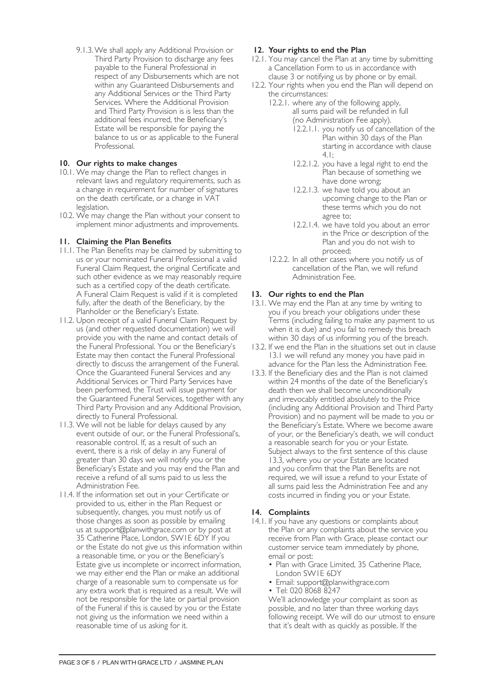9.1.3.We shall apply any Additional Provision or Third Party Provision to discharge any fees payable to the Funeral Professional in respect of any Disbursements which are not within any Guaranteed Disbursements and any Additional Services or the Third Party Services. Where the Additional Provision and Third Party Provision is is less than the additional fees incurred, the Beneficiary's Estate will be responsible for paying the balance to us or as applicable to the Funeral Professional.

# **10. Our rights to make changes**

- 10.1. We may change the Plan to reflect changes in relevant laws and regulatory requirements, such as a change in requirement for number of signatures on the death certificate, or a change in VAT legislation.
- 10.2. We may change the Plan without your consent to implement minor adjustments and improvements.

# **11. Claiming the Plan Benefits**

- 11.1. The Plan Benefits may be claimed by submitting to us or your nominated Funeral Professional a valid Funeral Claim Request, the original Certificate and such other evidence as we may reasonably require such as a certified copy of the death certificate. A Funeral Claim Request is valid if it is completed fully, after the death of the Beneficiary, by the Planholder or the Beneficiary's Estate.
- 11.2. Upon receipt of a valid Funeral Claim Request by us (and other requested documentation) we will provide you with the name and contact details of the Funeral Professional. You or the Beneficiary's Estate may then contact the Funeral Professional directly to discuss the arrangement of the Funeral. Once the Guaranteed Funeral Services and any Additional Services or Third Party Services have been performed, the Trust will issue payment for the Guaranteed Funeral Services, together with any Third Party Provision and any Additional Provision, directly to Funeral Professional.
- 11.3. We will not be liable for delays caused by any event outside of our, or the Funeral Professional's, reasonable control. If, as a result of such an event, there is a risk of delay in any Funeral of greater than 30 days we will notify you or the Beneficiary's Estate and you may end the Plan and receive a refund of all sums paid to us less the Administration Fee.
- 11.4. If the information set out in your Certificate or provided to us, either in the Plan Request or subsequently, changes, you must notify us of those changes as soon as possible by emailing us at support@planwithgrace.com or by post at 35 Catherine Place, London, SW1E 6DY If you or the Estate do not give us this information within a reasonable time, or you or the Beneficiary's Estate give us incomplete or incorrect information, we may either end the Plan or make an additional charge of a reasonable sum to compensate us for any extra work that is required as a result. We will not be responsible for the late or partial provision of the Funeral if this is caused by you or the Estate not giving us the information we need within a reasonable time of us asking for it.

# **12. Your rights to end the Plan**

- 12.1. You may cancel the Plan at any time by submitting a Cancellation Form to us in accordance with clause 3 or notifying us by phone or by email.
- 12.2. Your rights when you end the Plan will depend on the circumstances:
	- 12.2.1. where any of the following apply, all sums paid will be refunded in full (no Administration Fee apply).
		- 12.2.1.1. you notify us of cancellation of the Plan within 30 days of the Plan starting in accordance with clause 4.1;
		- 12.2.1.2. you have a legal right to end the Plan because of something we have done wrong;
		- 12.2.1.3. we have told you about an upcoming change to the Plan or these terms which you do not agree to;
		- 12.2.1.4. we have told you about an error in the Price or description of the Plan and you do not wish to proceed;
	- 12.2.2. In all other cases where you notify us of cancellation of the Plan, we will refund Administration Fee.

# **13. Our rights to end the Plan**

- 13.1. We may end the Plan at any time by writing to you if you breach your obligations under these Terms (including failing to make any payment to us when it is due) and you fail to remedy this breach within 30 days of us informing you of the breach.
- 13.2. If we end the Plan in the situations set out in clause 13.1 we will refund any money you have paid in advance for the Plan less the Administration Fee.
- 13.3. If the Beneficiary dies and the Plan is not claimed within 24 months of the date of the Beneficiary's death then we shall become unconditionally and irrevocably entitled absolutely to the Price (including any Additional Provision and Third Party Provision) and no payment will be made to you or the Beneficiary's Estate. Where we become aware of your, or the Beneficiary's death, we will conduct a reasonable search for you or your Estate. Subject always to the first sentence of this clause 13.3, where you or your Estate are located and you confirm that the Plan Benefits are not required, we will issue a refund to your Estate of all sums paid less the Administration Fee and any costs incurred in finding you or your Estate.

#### **14. Complaints**

- 14.1. If you have any questions or complaints about the Plan or any complaints about the service you receive from Plan with Grace, please contact our customer service team immediately by phone, email or post:
	- Plan with Grace Limited, 35 Catherine Place, London SW1E 6DY
	- Email: support@planwithgrace.com
	- Tel: 020 8068 8247

We'll acknowledge your complaint as soon as possible, and no later than three working days following receipt. We will do our utmost to ensure that it's dealt with as quickly as possible. If the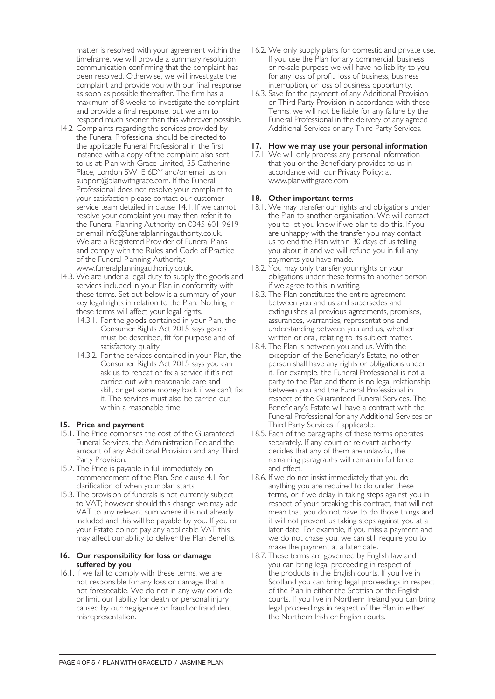matter is resolved with your agreement within the timeframe, we will provide a summary resolution communication confirming that the complaint has been resolved. Otherwise, we will investigate the complaint and provide you with our final response as soon as possible thereafter. The firm has a maximum of 8 weeks to investigate the complaint and provide a final response, but we aim to respond much sooner than this wherever possible.

- 14.2 Complaints regarding the services provided by the Funeral Professional should be directed to the applicable Funeral Professional in the first instance with a copy of the complaint also sent to us at: Plan with Grace Limited, 35 Catherine Place, London SW1E 6DY and/or email us on support@planwithgrace.com. If the Funeral Professional does not resolve your complaint to your satisfaction please contact our customer service team detailed in clause 14.1. If we cannot resolve your complaint you may then refer it to the Funeral Planning Authority on 0345 601 9619 or email Info@funeralplanningauthority.co.uk. We are a Registered Provider of Funeral Plans and comply with the Rules and Code of Practice of the Funeral Planning Authority: www.funeralplanningauthority.co.uk.
- 14.3. We are under a legal duty to supply the goods and services included in your Plan in conformity with these terms. Set out below is a summary of your key legal rights in relation to the Plan. Nothing in these terms will affect your legal rights.
	- 14.3.1. For the goods contained in your Plan, the Consumer Rights Act 2015 says goods must be described, fit for purpose and of satisfactory quality.
	- 14.3.2. For the services contained in your Plan, the Consumer Rights Act 2015 says you can ask us to repeat or fix a service if it's not carried out with reasonable care and skill, or get some money back if we can't fix it. The services must also be carried out within a reasonable time.

# **15. Price and payment**

- 15.1. The Price comprises the cost of the Guaranteed Funeral Services, the Administration Fee and the amount of any Additional Provision and any Third Party Provision.
- 15.2. The Price is payable in full immediately on commencement of the Plan. See clause 4.1 for clarification of when your plan starts
- 15.3. The provision of funerals is not currently subject to VAT; however should this change we may add VAT to any relevant sum where it is not already included and this will be payable by you. If you or your Estate do not pay any applicable VAT this may affect our ability to deliver the Plan Benefits.

#### **16. Our responsibility for loss or damage suffered by you**

16.1. If we fail to comply with these terms, we are not responsible for any loss or damage that is not foreseeable. We do not in any way exclude or limit our liability for death or personal injury caused by our negligence or fraud or fraudulent misrepresentation.

- 16.2. We only supply plans for domestic and private use. If you use the Plan for any commercial, business or re-sale purpose we will have no liability to you for any loss of profit, loss of business, business interruption, or loss of business opportunity.
- 16.3. Save for the payment of any Additional Provision or Third Party Provision in accordance with these Terms, we will not be liable for any failure by the Funeral Professional in the delivery of any agreed Additional Services or any Third Party Services.

#### **17. How we may use your personal information**

17.1 We will only process any personal information that you or the Beneficiary provides to us in accordance with our Privacy Policy: at www.planwithgrace.com

# **18. Other important terms**

- 18.1. We may transfer our rights and obligations under the Plan to another organisation. We will contact you to let you know if we plan to do this. If you are unhappy with the transfer you may contact us to end the Plan within 30 days of us telling you about it and we will refund you in full any payments you have made.
- 18.2. You may only transfer your rights or your obligations under these terms to another person if we agree to this in writing.
- 18.3. The Plan constitutes the entire agreement between you and us and supersedes and extinguishes all previous agreements, promises, assurances, warranties, representations and understanding between you and us, whether written or oral, relating to its subject matter.
- 18.4. The Plan is between you and us. With the exception of the Beneficiary's Estate, no other person shall have any rights or obligations under it. For example, the Funeral Professional is not a party to the Plan and there is no legal relationship between you and the Funeral Professional in respect of the Guaranteed Funeral Services. The Beneficiary's Estate will have a contract with the Funeral Professional for any Additional Services or Third Party Services if applicable.
- 18.5. Each of the paragraphs of these terms operates separately. If any court or relevant authority decides that any of them are unlawful, the remaining paragraphs will remain in full force and effect.
- 18.6. If we do not insist immediately that you do anything you are required to do under these terms, or if we delay in taking steps against you in respect of your breaking this contract, that will not mean that you do not have to do those things and it will not prevent us taking steps against you at a later date. For example, if you miss a payment and we do not chase you, we can still require you to make the payment at a later date.
- 18.7. These terms are governed by English law and you can bring legal proceeding in respect of the products in the English courts. If you live in Scotland you can bring legal proceedings in respect of the Plan in either the Scottish or the English courts. If you live in Northern Ireland you can bring legal proceedings in respect of the Plan in either the Northern Irish or English courts.